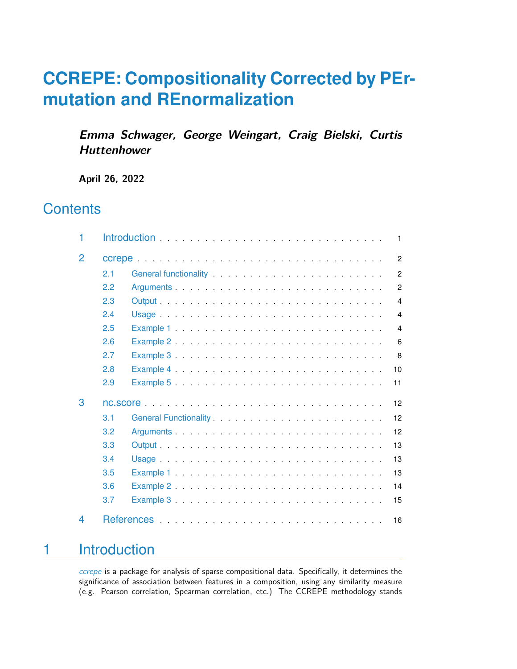# **CCREPE: Compositionality Corrected by PErmutation and REnormalization**

**Emma Schwager, George Weingart, Craig Bielski, Curtis Huttenhower**

**April 26, 2022**

# **Contents**

| 1 |     | $\mathbf{1}$   |
|---|-----|----------------|
| 2 |     | $\overline{2}$ |
|   | 2.1 | $\overline{2}$ |
|   | 2.2 | $\overline{2}$ |
|   | 2.3 | $\overline{4}$ |
|   | 2.4 | $\overline{4}$ |
|   | 2.5 | $\overline{4}$ |
|   | 2.6 | 6              |
|   | 2.7 | 8              |
|   | 2.8 | 10             |
|   | 2.9 | 11             |
| 3 |     | 12             |
|   | 3.1 | 12             |
|   | 3.2 | 12             |
|   | 3.3 | 13             |
|   | 3.4 | 13             |
|   | 3.5 | 13             |
|   | 3.6 | 14             |
|   | 3.7 | 15             |
| 4 |     | 16             |

# <span id="page-0-0"></span>1 Introduction

[ccrepe](http://bioconductor.org/packages/ccrepe) is a package for analysis of sparse compositional data. Specifically, it determines the significance of association between features in a composition, using any similarity measure (e.g. Pearson correlation, Spearman correlation, etc.) The CCREPE methodology stands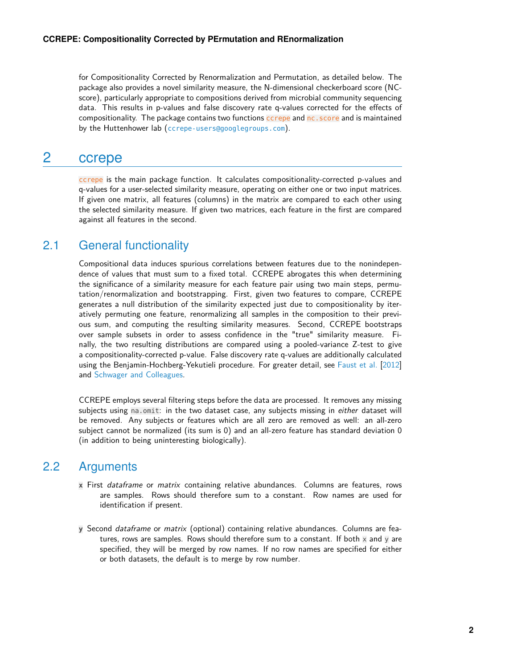for Compositionality Corrected by Renormalization and Permutation, as detailed below. The package also provides a novel similarity measure, the N-dimensional checkerboard score (NCscore), particularly appropriate to compositions derived from microbial community sequencing data. This results in p-values and false discovery rate q-values corrected for the effects of compositionality. The package contains two functions ccrepe and nc.score and is maintained by the Huttenhower lab ([ccrepe-users@googlegroups.com](mailto:ccrepe-users@googlegroups.com)).

## <span id="page-1-0"></span>2 ccrepe

ccrepe is the main package function. It calculates compositionality-corrected p-values and q-values for a user-selected similarity measure, operating on either one or two input matrices. If given one matrix, all features (columns) in the matrix are compared to each other using the selected similarity measure. If given two matrices, each feature in the first are compared against all features in the second.

#### 2.1 General functionality

<span id="page-1-1"></span>Compositional data induces spurious correlations between features due to the nonindependence of values that must sum to a fixed total. CCREPE abrogates this when determining the significance of a similarity measure for each feature pair using two main steps, permutation/renormalization and bootstrapping. First, given two features to compare, CCREPE generates a null distribution of the similarity expected just due to compositionality by iteratively permuting one feature, renormalizing all samples in the composition to their previous sum, and computing the resulting similarity measures. Second, CCREPE bootstraps over sample subsets in order to assess confidence in the "true" similarity measure. Finally, the two resulting distributions are compared using a pooled-variance Z-test to give a compositionality-corrected p-value. False discovery rate q-values are additionally calculated using the Benjamin-Hochberg-Yekutieli procedure. For greater detail, see [Faust et al.](#page-15-1) [\[2012\]](#page-15-1) and [Schwager and Colleagues.](#page-15-2)

CCREPE employs several filtering steps before the data are processed. It removes any missing subjects using na.omit: in the two dataset case, any subjects missing in either dataset will be removed. Any subjects or features which are all zero are removed as well: an all-zero subject cannot be normalized (its sum is 0) and an all-zero feature has standard deviation 0 (in addition to being uninteresting biologically).

#### 2.2 Arguments

- <span id="page-1-2"></span>**x** First dataframe or matrix containing relative abundances. Columns are features, rows are samples. Rows should therefore sum to a constant. Row names are used for identification if present.
- **y** Second dataframe or matrix (optional) containing relative abundances. Columns are features, rows are samples. Rows should therefore sum to a constant. If both  $x$  and  $y$  are specified, they will be merged by row names. If no row names are specified for either or both datasets, the default is to merge by row number.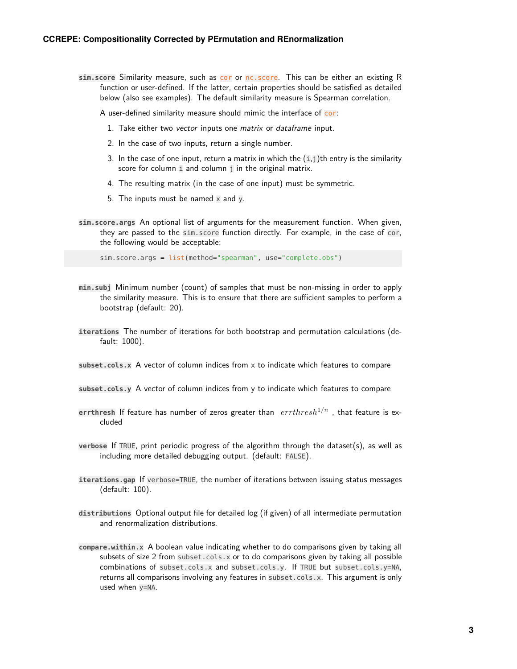**sim.score** Similarity measure, such as cor or nc.score. This can be either an existing R function or user-defined. If the latter, certain properties should be satisfied as detailed below (also see examples). The default similarity measure is Spearman correlation.

A user-defined similarity measure should mimic the interface of cor:

- 1. Take either two vector inputs one matrix or dataframe input.
- 2. In the case of two inputs, return a single number.
- 3. In the case of one input, return a matrix in which the  $(i,j)$ th entry is the similarity score for column i and column *j* in the original matrix.
- 4. The resulting matrix (in the case of one input) must be symmetric.
- 5. The inputs must be named  $\times$  and y.
- **sim.score.args** An optional list of arguments for the measurement function. When given, they are passed to the sim.score function directly. For example, in the case of cor, the following would be acceptable:

sim.score.args = list(method="spearman", use="complete.obs")

- **min.subj** Minimum number (count) of samples that must be non-missing in order to apply the similarity measure. This is to ensure that there are sufficient samples to perform a bootstrap (default: 20).
- **iterations** The number of iterations for both bootstrap and permutation calculations (default: 1000).
- **subset.cols.x** A vector of column indices from x to indicate which features to compare
- **subset.cols.y** A vector of column indices from y to indicate which features to compare
- **errthresh** If feature has number of zeros greater than  $errthreshold<sup>n</sup>$ , that feature is excluded
- **verbose** If TRUE, print periodic progress of the algorithm through the dataset(s), as well as including more detailed debugging output. (default: FALSE).
- **iterations.gap** If verbose=TRUE, the number of iterations between issuing status messages (default: 100).
- **distributions** Optional output file for detailed log (if given) of all intermediate permutation and renormalization distributions.
- **compare.within.x** A boolean value indicating whether to do comparisons given by taking all subsets of size 2 from subset.cols.x or to do comparisons given by taking all possible combinations of subset.cols.x and subset.cols.y. If TRUE but subset.cols.y=NA, returns all comparisons involving any features in subset.cols.x. This argument is only used when y=NA.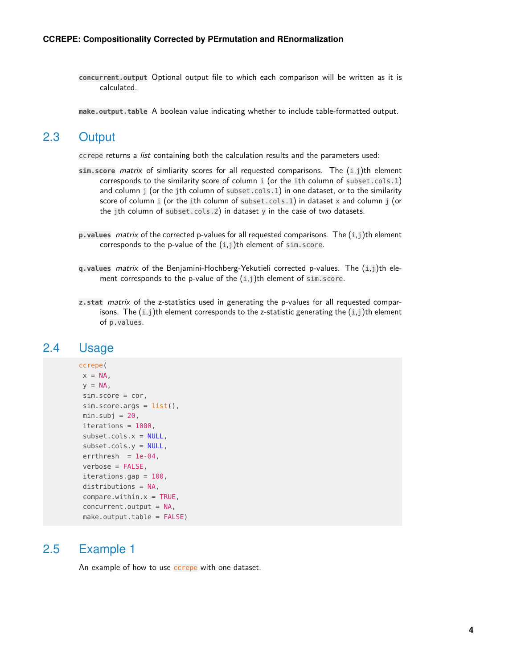**concurrent.output** Optional output file to which each comparison will be written as it is calculated.

<span id="page-3-0"></span>**make.output.table** A boolean value indicating whether to include table-formatted output.

#### 2.3 Output

ccrepe returns a list containing both the calculation results and the parameters used:

- **sim.score** matrix of simliarity scores for all requested comparisons. The (i,j)th element corresponds to the similarity score of column i (or the ith column of subset.cols.1) and column  $j$  (or the jth column of subset.cols.1) in one dataset, or to the similarity score of column i (or the ith column of subset.cols.1) in dataset  $x$  and column j (or the jth column of subset.cols.2) in dataset y in the case of two datasets.
- **p.values** matrix of the corrected p-values for all requested comparisons. The (i,j)th element corresponds to the p-value of the  $(i,j)$ th element of sim.score.
- **q.values** matrix of the Benjamini-Hochberg-Yekutieli corrected p-values. The (i,j)th element corresponds to the p-value of the  $(i,j)$ th element of sim.score.
- <span id="page-3-1"></span>**z.stat** matrix of the z-statistics used in generating the p-values for all requested comparisons. The  $(i,j)$ th element corresponds to the z-statistic generating the  $(i,j)$ th element of p.values.

#### 2.4 Usage

```
ccrepe(
x = NA,
y = NA,
sim.score = cor,
sim.score.args = list(),
min.subj = 20,iterations = 1000,
subset.cols.x = NULL,
subset.cols.y = NULL,
errthresh = 1e-04,
verbose = FALSE,
iterations.gap = 100,
distributions = NA,
compare.within.x = TRUE,concurrent.output = NA,
make.output.table = FALSE)
```
#### 2.5 Example 1

<span id="page-3-2"></span>An example of how to use **ccrepe** with one dataset.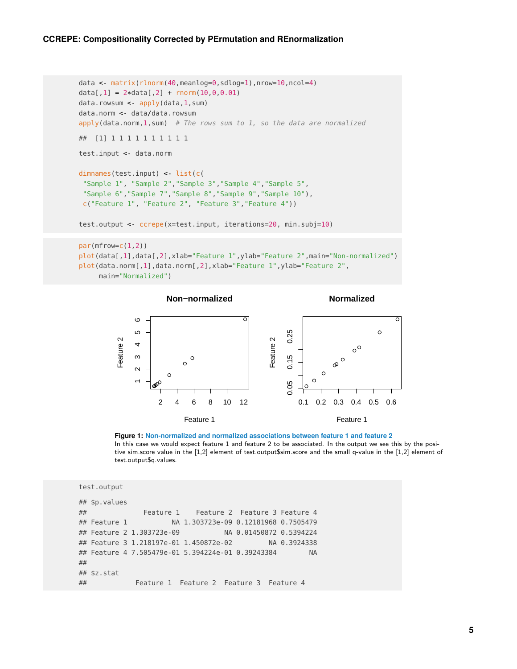```
data <- matrix(rlnorm(40,meanlog=0,sdlog=1),nrow=10,ncol=4)
data[1] = 2*data[2] + rnorm(10, 0, 0.01)data.rowsum <- apply(data,1,sum)
data.norm <- data/data.rowsum
apply(data.norm, 1, sum) # The rows sum to 1, so the data are normalized
## [1] 1 1 1 1 1 1 1 1 1 1
test.input <- data.norm
dimnames(test.input) <- list(c(
 "Sample 1", "Sample 2","Sample 3","Sample 4","Sample 5",
 "Sample 6","Sample 7","Sample 8","Sample 9","Sample 10"),
 c("Feature 1", "Feature 2", "Feature 3","Feature 4"))
test.output <- ccrepe(x=test.input, iterations=20, min.subj=10)
par(mfrow=c(1,2))plot(data[,1],data[,2],xlab="Feature 1",ylab="Feature 2",main="Non-normalized")
plot(data.norm[,1],data.norm[,2],xlab="Feature 1",ylab="Feature 2",
```




**Figure 1: Non-normalized and normalized associations between feature 1 and feature 2** In this case we would expect feature 1 and feature 2 to be associated. In the output we see this by the positive sim.score value in the [1,2] element of test.output\$sim.score and the small q-value in the [1,2] element of test.output\$q.values.

```
test.output
## $p.values
## Feature 1 Feature 2 Feature 3 Feature 4
## Feature 1 NA 1.303723e-09 0.12181968 0.7505479
## Feature 2 1.303723e-09 NA 0.01450872 0.5394224
## Feature 3 1.218197e-01 1.450872e-02 NA 0.3924338
## Feature 4 7.505479e-01 5.394224e-01 0.39243384 NA
##
## $z.stat
## Feature 1 Feature 2 Feature 3 Feature 4
```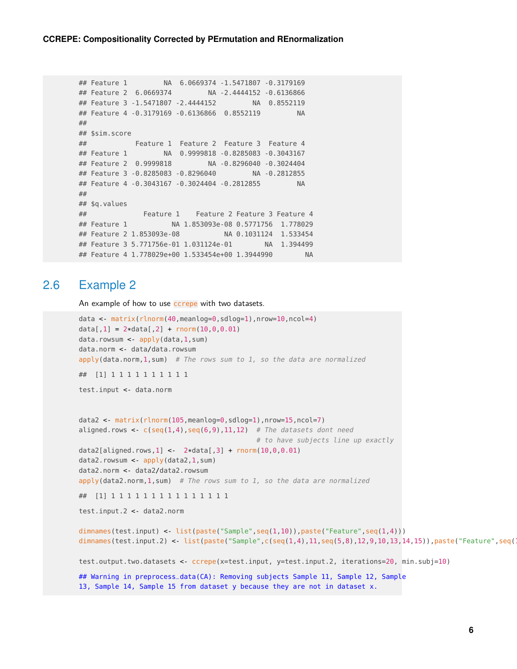```
## Feature 1 NA 6.0669374 -1.5471807 -0.3179169
## Feature 2 6.0669374 NA -2.4444152 -0.6136866
## Feature 3 -1.5471807 -2.4444152 NA 0.8552119
## Feature 4 -0.3179169 -0.6136866 0.8552119 NA
##
## $sim.score
## Feature 1 Feature 2 Feature 3 Feature 4
## Feature 1 NA 0.9999818 -0.8285083 -0.3043167
## Feature 2 0.9999818 NA -0.8296040 -0.3024404
## Feature 3 -0.8285083 -0.8296040 NA -0.2812855
## Feature 4 -0.3043167 -0.3024404 -0.2812855 NA
##
## $q.values
## Feature 1 Feature 2 Feature 3 Feature 4
## Feature 1 NA 1.853093e-08 0.5771756 1.778029
## Feature 2 1.853093e-08 NA 0.1031124 1.533454
## Feature 3 5.771756e-01 1.031124e-01 NA 1.394499
## Feature 4 1.778029e+00 1.533454e+00 1.3944990 NA
```
#### 2.6 Example 2

<span id="page-5-0"></span>An example of how to use ccrepe with two datasets.

```
data <- matrix(rlnorm(40,meanlog=0,sdlog=1),nrow=10,ncol=4)
data[1] = 2*data[2] + rnorm(10, 0, 0.01)data.rowsum <- apply(data,1,sum)
data.norm <- data/data.rowsum
apply(data.norm, 1, sum) # The rows sum to 1, so the data are normalized
## [1] 1 1 1 1 1 1 1 1 1 1
test.input <- data.norm
data2 <- matrix(rlnorm(105,meanlog=0,sdlog=1),nrow=15,ncol=7)
aligned.rows \leq c(seq(1,4),seq(6,9),11,12) # The datasets dont need
                                           # to have subjects line up exactly
data2[aligned.rows,1] <- 2*data[,3] + rnorm(10,0,0.01)
data2.rowsum <- apply(data2,1,sum)
data2.norm <- data2/data2.rowsum
apply(data2.norm, 1, sum) # The rows sum to 1, so the data are normalized
## [1] 1 1 1 1 1 1 1 1 1 1 1 1 1 1 1
test.input.2 <- data2.norm
dimnames(test.input) <- list(paste("Sample",seq(1,10)),paste("Feature",seq(1,4)))
dimnames(test.input.2) <- list(paste("Sample",c(seq(1,4),11,seq(5,8),12,9,10,13,14,15)),paste("Feature",seq(
test.output.two.datasets <- ccrepe(x=test.input, y=test.input.2, iterations=20, min.subj=10)
## Warning in preprocess_data(CA): Removing subjects Sample 11, Sample 12, Sample
```

```
13, Sample 14, Sample 15 from dataset y because they are not in dataset x.
```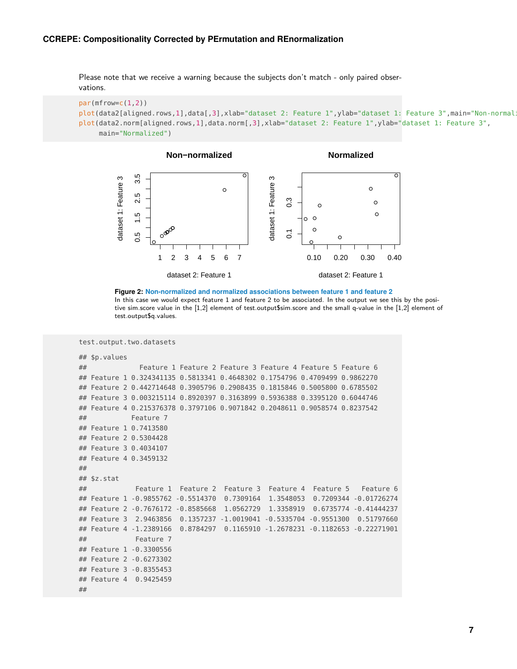#### **CCREPE: Compositionality Corrected by PErmutation and REnormalization**

Please note that we receive a warning because the subjects don't match - only paired observations.

```
par(mfrow=c(1,2))plot(data2[aligned.rows,1],data[,3],xlab="dataset 2: Feature 1",ylab="dataset 1: Feature 3",main="Non-normal
plot(data2.norm[aligned.rows,1],data.norm[,3],xlab="dataset 2: Feature 1",ylab="dataset 1: Feature 3",
     main="Normalized")
```


**Figure 2: Non-normalized and normalized associations between feature 1 and feature 2** In this case we would expect feature 1 and feature 2 to be associated. In the output we see this by the positive sim.score value in the [1,2] element of test.output\$sim.score and the small q-value in the [1,2] element of test.output\$q.values.

```
test.output.two.datasets
```

```
## $p.values
## Feature 1 Feature 2 Feature 3 Feature 4 Feature 5 Feature 6
## Feature 1 0.324341135 0.5813341 0.4648302 0.1754796 0.4709499 0.9862270
## Feature 2 0.442714648 0.3905796 0.2908435 0.1815846 0.5005800 0.6785502
## Feature 3 0.003215114 0.8920397 0.3163899 0.5936388 0.3395120 0.6044746
## Feature 4 0.215376378 0.3797106 0.9071842 0.2048611 0.9058574 0.8237542
## Feature 7
## Feature 1 0.7413580
## Feature 2 0.5304428
## Feature 3 0.4034107
## Feature 4 0.3459132
##
## $z.stat
## Feature 1 Feature 2 Feature 3 Feature 4 Feature 5 Feature 6
## Feature 1 -0.9855762 -0.5514370 0.7309164 1.3548053 0.7209344 -0.01726274
## Feature 2 -0.7676172 -0.8585668 1.0562729 1.3358919 0.6735774 -0.41444237
## Feature 3 2.9463856 0.1357237 -1.0019041 -0.5335704 -0.9551300 0.51797660
## Feature 4 -1.2389166 0.8784297 0.1165910 -1.2678231 -0.1182653 -0.22271901
## Feature 7
## Feature 1 -0.3300556
## Feature 2 -0.6273302
## Feature 3 -0.8355453
## Feature 4 0.9425459
##
```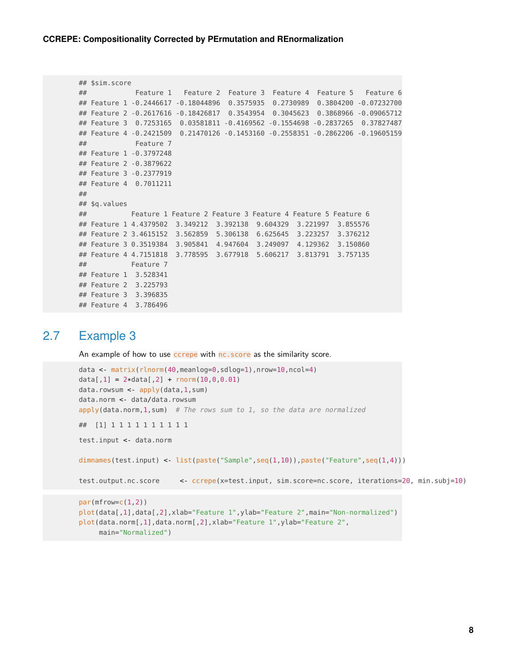```
## $sim.score
## Feature 1 Feature 2 Feature 3 Feature 4 Feature 5 Feature 6
## Feature 1 -0.2446617 -0.18044896 0.3575935 0.2730989 0.3804200 -0.07232700
## Feature 2 -0.2617616 -0.18426817 0.3543954 0.3045623 0.3868966 -0.09065712
## Feature 3 0.7253165 0.03581811 -0.4169562 -0.1554698 -0.2837265 0.37827487
## Feature 4 -0.2421509 0.21470126 -0.1453160 -0.2558351 -0.2862206 -0.19605159
## Feature 7
## Feature 1 -0.3797248
## Feature 2 -0.3879622
## Feature 3 -0.2377919
## Feature 4 0.7011211
##
## $q.values
## Feature 1 Feature 2 Feature 3 Feature 4 Feature 5 Feature 6
## Feature 1 4.4379502 3.349212 3.392138 9.604329 3.221997 3.855576
## Feature 2 3.4615152 3.562859 5.306138 6.625645 3.223257 3.376212
## Feature 3 0.3519384 3.905841 4.947604 3.249097 4.129362 3.150860
## Feature 4 4.7151818 3.778595 3.677918 5.606217 3.813791 3.757135
## Feature 7
## Feature 1 3.528341
## Feature 2 3.225793
## Feature 3 3.396835
## Feature 4 3.786496
```
#### 2.7 Example 3

<span id="page-7-0"></span>An example of how to use ccrepe with nc. score as the similarity score.

```
data <- matrix(rlnorm(40,meanlog=0,sdlog=1),nrow=10,ncol=4)
data[1] = 2*data[2] + rnorm(10, 0, 0.01)data.rowsum <- apply(data,1,sum)
data.norm <- data/data.rowsum
apply(data.norm, 1, sum) # The rows sum to 1, so the data are normalized
## [1] 1 1 1 1 1 1 1 1 1 1
test.input <- data.norm
dimnames(test.input) <- list(paste("Sample",seq(1,10)),paste("Feature",seq(1,4)))
test.output.nc.score <- ccrepe(x=test.input, sim.score=nc.score, iterations=20, min.subj=10)
par(mfrow=c(1,2))
plot(data[,1],data[,2],xlab="Feature 1",ylab="Feature 2",main="Non-normalized")
```

```
plot(data.norm[,1],data.norm[,2],xlab="Feature 1",ylab="Feature 2",
    main="Normalized")
```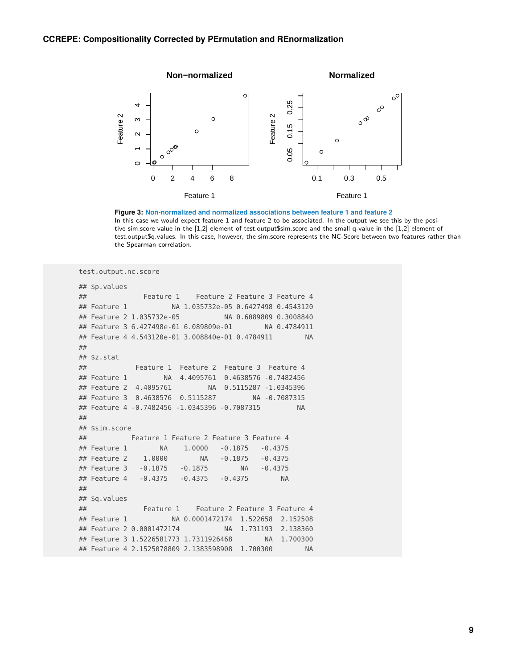

**Figure 3: Non-normalized and normalized associations between feature 1 and feature 2** In this case we would expect feature 1 and feature 2 to be associated. In the output we see this by the positive sim.score value in the [1,2] element of test.output\$sim.score and the small q-value in the [1,2] element of test.output\$q.values. In this case, however, the sim.score represents the NC-Score between two features rather than the Spearman correlation.

```
test.output.nc.score
## $p.values
## Feature 1 Feature 2 Feature 3 Feature 4
## Feature 1 NA 1.035732e-05 0.6427498 0.4543120
## Feature 2 1.035732e-05 NA 0.6089809 0.3008840
## Feature 3 6.427498e-01 6.089809e-01 NA 0.4784911
## Feature 4 4.543120e-01 3.008840e-01 0.4784911 NA
##
## $z.stat
## Feature 1 Feature 2 Feature 3 Feature 4
## Feature 1 NA 4.4095761 0.4638576 -0.7482456
## Feature 2 4.4095761 NA 0.5115287 -1.0345396
## Feature 3 0.4638576 0.5115287 NA -0.7087315
## Feature 4 -0.7482456 -1.0345396 -0.7087315 NA
##
## $sim.score
## Feature 1 Feature 2 Feature 3 Feature 4
## Feature 1 NA 1.0000 -0.1875 -0.4375
## Feature 2 1.0000 NA -0.1875 -0.4375
## Feature 3 -0.1875 -0.1875 NA -0.4375
## Feature 4 -0.4375 -0.4375 -0.4375 NA
##
## $q.values
## Feature 1 Feature 2 Feature 3 Feature 4
## Feature 1 NA 0.0001472174 1.522658 2.152508
## Feature 2 0.0001472174 NA 1.731193 2.138360
## Feature 3 1.5226581773 1.7311926468 NA 1.700300
## Feature 4 2.1525078809 2.1383598908 1.700300 NA
```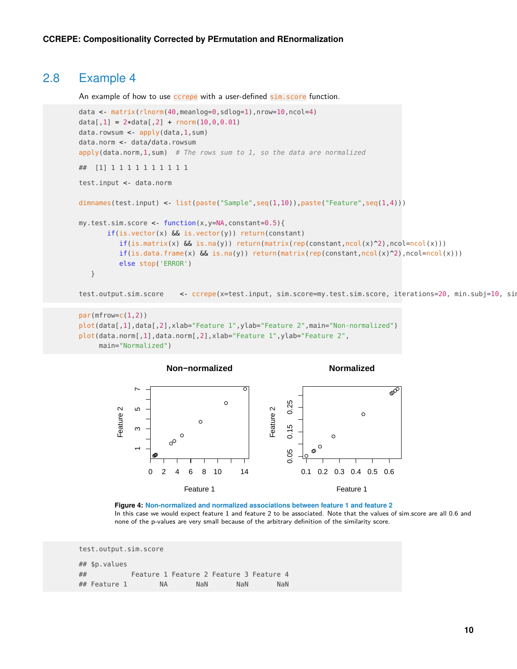#### 2.8 Example 4

An example of how to use ccrepe with a user-defined sim. score function.

```
data <- matrix(rlnorm(40,meanlog=0,sdlog=1),nrow=10,ncol=4)
data[1] = 2*data[2] + rnorm(10, 0, 0.01)data.rowsum <- apply(data,1,sum)
data.norm <- data/data.rowsum
apply(data.norm, 1, sum) # The rows sum to 1, so the data are normalized
## [1] 1 1 1 1 1 1 1 1 1 1
test.input <- data.norm
dimnames(test.input) <- list(paste("Sample",seq(1,10)),paste("Feature",seq(1,4)))
my.test.sim.score <- function(x,y=NA,constant=0.5){
       if(is.vector(x) && is.vector(y)) return(constant)
          if(is.matrix(x) & & is.na(y)) return(matrix(rep(constant,ncol(x)^2),ncol=ncol(x)))if(is.data frame(x) & is.na(y)) return(maxrix(rep(constant,ncol(x)^2),ncol=ncol(x)))else stop('ERROR')
   }
```
test.output.sim.score <- ccrepe(x=test.input, sim.score=my.test.sim.score, iterations=20, min.subj=10, sim

```
par(mfrow=c(1,2))
plot(data[,1],data[,2],xlab="Feature 1",ylab="Feature 2",main="Non-normalized")
plot(data.norm[,1],data.norm[,2],xlab="Feature 1",ylab="Feature 2",
     main="Normalized")
```


**Figure 4: Non-normalized and normalized associations between feature 1 and feature 2** In this case we would expect feature 1 and feature 2 to be associated. Note that the values of sim.score are all 0.6 and none of the p-values are very small because of the arbitrary definition of the similarity score.

```
test.output.sim.score
## $p.values
## Feature 1 Feature 2 Feature 3 Feature 4
## Feature 1 NA NaN NaN NaN
```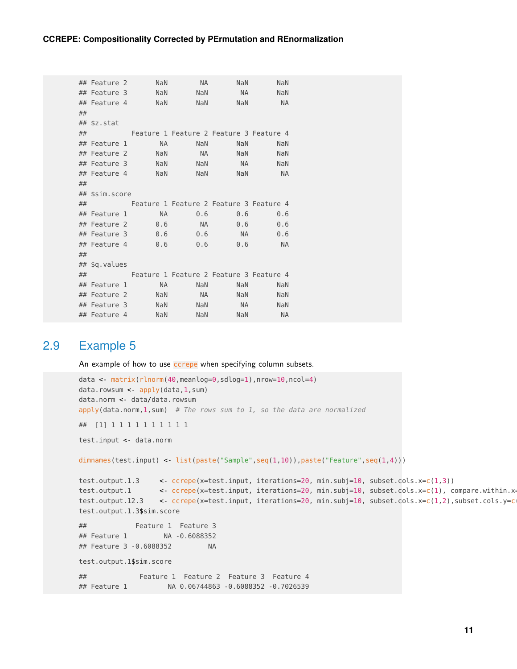```
## Feature 2 NaN NA NaN NaN
## Feature 3 NaN NaN NA NaN
## Feature 4 NaN NaN NaN NA
##
## $z.stat
## Feature 1 Feature 2 Feature 3 Feature 4
## Feature 1 MA NaN NaN NaN
## Feature 2 NaN NA NaN NaN
## Feature 3 NaN NaN NA NaN
## Feature 4 NaN NaN NaN NA
##
## $sim.score
## Feature 1 Feature 2 Feature 3 Feature 4
## Feature 1 NA 0.6 0.6 0.6
## Feature 2 0.6 NA 0.6 0.6
## Feature 3 0.6 0.6 NA 0.6
## Feature 4 0.6 0.6 0.6 NA
##
## $q.values
## Feature 1 Feature 2 Feature 3 Feature 4
## Feature 1 MA NaN NaN NaN
## Feature 2 NaN NA NaN NaN
## Feature 3 NaN NaN NA NaN
## Feature 4 NaN NaN NaN NA
```
#### 2.9 Example 5

<span id="page-10-0"></span>An example of how to use **ccrepe** when specifying column subsets.

```
data <- matrix(rlnorm(40,meanlog=0,sdlog=1),nrow=10,ncol=4)
data.rowsum <- apply(data,1,sum)
data.norm <- data/data.rowsum
apply(data.norm, 1, sum) # The rows sum to 1, so the data are normalized
## [1] 1 1 1 1 1 1 1 1 1 1
test.input <- data.norm
dimnames(test.input) <- list(paste("Sample",seq(1,10)),paste("Feature",seq(1,4)))
test.output.1.3 <- ccrepe(x=test.input, iterations=20, min.subj=10, subset.cols.x=c(1,3))
test.output.1 <- ccrepe(x=test.input, iterations=20, min.subj=10, subset.cols.x=c(1), compare.within.x
test.output.12.3 <- ccrepe(x=test.input, iterations=20, min.subj=10, subset.cols.x=c(1,2),subset.cols.y=c
test.output.1.3$sim.score
## Feature 1 Feature 3
## Feature 1 NA -0.6088352
## Feature 3 -0.6088352 NA
test.output.1$sim.score
## Feature 1 Feature 2 Feature 3 Feature 4
## Feature 1 NA 0.06744863 -0.6088352 -0.7026539
```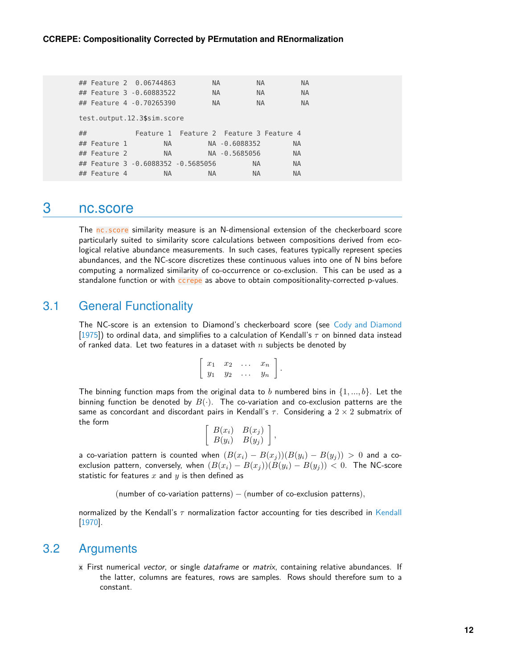| ## Feature 2 0.06744863            |           | <b>NA</b>                               | <b>NA</b>     |           | <b>NA</b> |  |  |
|------------------------------------|-----------|-----------------------------------------|---------------|-----------|-----------|--|--|
| ## Feature 3 -0.60883522           |           | <b>NA</b>                               | <b>NA</b>     |           | <b>NA</b> |  |  |
| ## Feature 4 -0.70265390           |           | <b>NA</b>                               | <b>NA</b>     |           | <b>NA</b> |  |  |
| test.output.12.3\$sim.score        |           |                                         |               |           |           |  |  |
|                                    |           |                                         |               |           |           |  |  |
| ##                                 |           | Feature 1 Feature 2 Feature 3 Feature 4 |               |           |           |  |  |
| ## Feature 1                       | NA L      |                                         | NA -0.6088352 | <b>NA</b> |           |  |  |
| ## Feature 2                       | <b>NA</b> |                                         | NA -0.5685056 | <b>NA</b> |           |  |  |
| ## Feature 3 -0.6088352 -0.5685056 |           |                                         | NA.           | <b>NA</b> |           |  |  |

### <span id="page-11-0"></span>3 nc.score

The nc. score similarity measure is an N-dimensional extension of the checkerboard score particularly suited to similarity score calculations between compositions derived from ecological relative abundance measurements. In such cases, features typically represent species abundances, and the NC-score discretizes these continuous values into one of N bins before computing a normalized similarity of co-occurrence or co-exclusion. This can be used as a standalone function or with ccrepe as above to obtain compositionality-corrected p-values.

#### 3.1 General Functionality

<span id="page-11-1"></span>The NC-score is an extension to Diamond's checkerboard score (see [Cody and Diamond](#page-15-3) [\[1975\]](#page-15-3)) to ordinal data, and simplifies to a calculation of Kendall's  $\tau$  on binned data instead of ranked data. Let two features in a dataset with  $n$  subjects be denoted by

| $x_1$ | $x_2$ | $\cdots$ | $x_n$ |  |
|-------|-------|----------|-------|--|
| $y_1$ | $y_2$ | $\cdots$ | $y_n$ |  |

The binning function maps from the original data to b numbered bins in  $\{1, ..., b\}$ . Let the binning function be denoted by  $B(\cdot)$ . The co-variation and co-exclusion patterns are the same as concordant and discordant pairs in Kendall's  $\tau$ . Considering a  $2 \times 2$  submatrix of the form

| $B(x_i)$ | $B(x_j)$ |  |
|----------|----------|--|
| $B(y_i)$ | $B(y_j)$ |  |

a co-variation pattern is counted when  $(B(x_i) - B(x_j))(B(y_i) - B(y_j)) > 0$  and a coexclusion pattern, conversely, when  $(B(x_i) - B(x_j))(B(y_i) - B(y_j)) < 0$ . The NC-score statistic for features  $x$  and  $y$  is then defined as

(number of co-variation patterns)  $-$  (number of co-exclusion patterns),

<span id="page-11-2"></span>normalized by the [Kendall](#page-15-4)'s  $\tau$  normalization factor accounting for ties described in Kendall [\[1970\]](#page-15-4).

#### 3.2 Arguments

**x** First numerical vector, or single dataframe or matrix, containing relative abundances. If the latter, columns are features, rows are samples. Rows should therefore sum to a constant.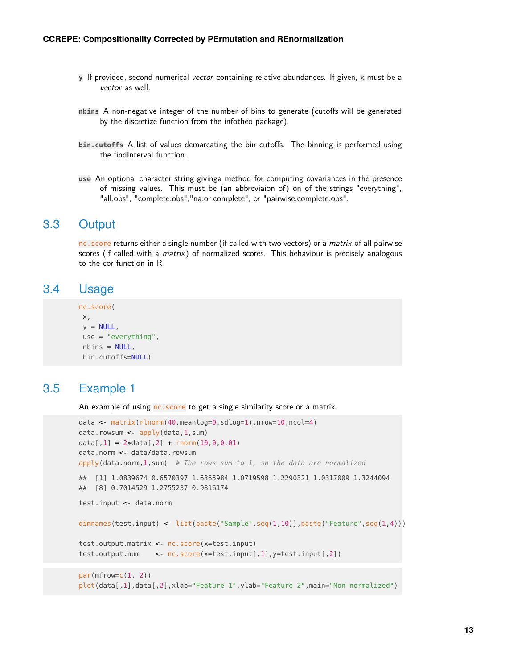- **y** If provided, second numerical vector containing relative abundances. If given, x must be a vector as well.
- **nbins** A non-negative integer of the number of bins to generate (cutoffs will be generated by the discretize function from the infotheo package).
- **bin.cutoffs** A list of values demarcating the bin cutoffs. The binning is performed using the findInterval function.
- <span id="page-12-0"></span>**use** An optional character string givinga method for computing covariances in the presence of missing values. This must be (an abbreviaion of) on of the strings "everything", "all.obs", "complete.obs","na.or.complete", or "pairwise.complete.obs".

#### 3.3 Output

<span id="page-12-1"></span>nc. score returns either a single number (if called with two vectors) or a *matrix* of all pairwise scores (if called with a  $matrix$ ) of normalized scores. This behaviour is precisely analogous to the cor function in R

#### 3.4 Usage

```
nc.score(
x,
y = NULL,use = "everything",
nbins = NULL,
bin.cutoffs=NULL)
```
#### 3.5 Example 1

<span id="page-12-2"></span>An example of using nc. score to get a single similarity score or a matrix.

```
data <- matrix(rlnorm(40,meanlog=0,sdlog=1),nrow=10,ncol=4)
data.rowsum <- apply(data,1,sum)
data[1] = 2*data[2] + rnorm(10, 0, 0.01)data.norm <- data/data.rowsum
apply(data.norm, 1, sum) # The rows sum to 1, so the data are normalized
## [1] 1.0839674 0.6570397 1.6365984 1.0719598 1.2290321 1.0317009 1.3244094
## [8] 0.7014529 1.2755237 0.9816174
test.input <- data.norm
dimnames(test.input) <- list(paste("Sample",seq(1,10)),paste("Feature",seq(1,4)))
test.output.matrix <- nc.score(x=test.input)
test.output.num <- nc.score(x=test.input[,1],y=test.input[,2])
par(mfrow=c(1, 2))plot(data[,1],data[,2],xlab="Feature 1",ylab="Feature 2",main="Non-normalized")
```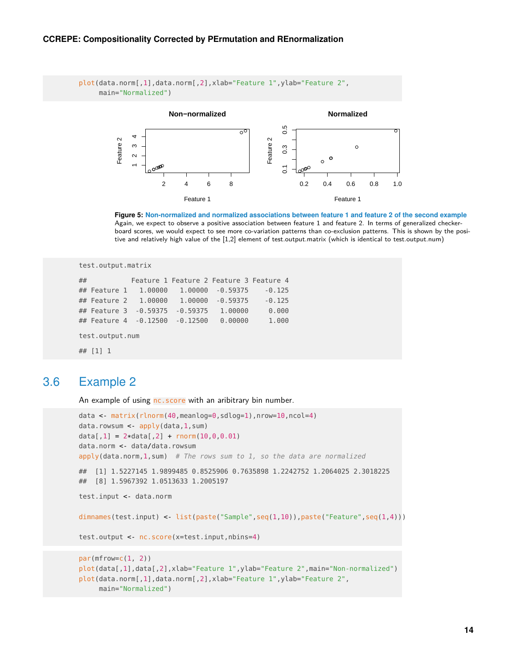#### **CCREPE: Compositionality Corrected by PErmutation and REnormalization**

```
plot(data.norm[,1],data.norm[,2],xlab="Feature 1",ylab="Feature 2",
     main="Normalized")
```


**Figure 5: Non-normalized and normalized associations between feature 1 and feature 2 of the second example** Again, we expect to observe a positive association between feature 1 and feature 2. In terms of generalized checkerboard scores, we would expect to see more co-variation patterns than co-exclusion patterns. This is shown by the positive and relatively high value of the [1,2] element of test.output.matrix (which is identical to test.output.num)

```
test.output.matrix
## Feature 1 Feature 2 Feature 3 Feature 4
## Feature 1 1.00000 1.00000 -0.59375 -0.125
## Feature 2 1.00000 1.00000 -0.59375 -0.125
## Feature 3 -0.59375 -0.59375 1.00000 0.000
## Feature 4 -0.12500 -0.12500 0.00000 1.000
test.output.num
```
<span id="page-13-0"></span>## [1] 1

### 3.6 Example 2

An example of using nc. score with an aribitrary bin number.

```
data <- matrix(rlnorm(40,meanlog=0,sdlog=1),nrow=10,ncol=4)
data.rowsum <- apply(data,1,sum)
data[1] = 2*data[2] + rnorm(10, 0, 0.01)data.norm <- data/data.rowsum
apply(data.norm, 1, sum) # The rows sum to 1, so the data are normalized
## [1] 1.5227145 1.9899485 0.8525906 0.7635898 1.2242752 1.2064025 2.3018225
## [8] 1.5967392 1.0513633 1.2005197
test.input <- data.norm
dimnames(test.input) <- list(paste("Sample",seq(1,10)),paste("Feature",seq(1,4)))
test.output <- nc.score(x=test.input,nbins=4)
par(mfrow=c(1, 2))plot(data[,1],data[,2],xlab="Feature 1",ylab="Feature 2",main="Non-normalized")
plot(data.norm[,1],data.norm[,2],xlab="Feature 1",ylab="Feature 2",
     main="Normalized")
```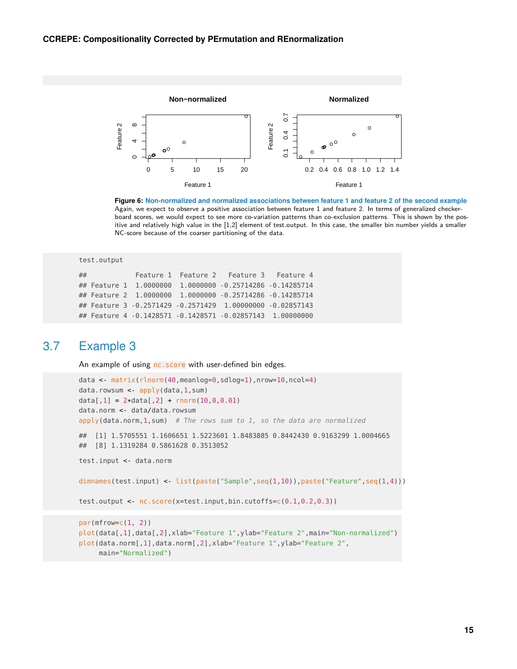

**Figure 6: Non-normalized and normalized associations between feature 1 and feature 2 of the second example** Again, we expect to observe a positive association between feature 1 and feature 2. In terms of generalized checkerboard scores, we would expect to see more co-variation patterns than co-exclusion patterns. This is shown by the positive and relatively high value in the [1,2] element of test.output. In this case, the smaller bin number yields a smaller NC-score because of the coarser partitioning of the data.

```
test.output
## Feature 1 Feature 2 Feature 3 Feature 4
## Feature 1 1.0000000 1.0000000 -0.25714286 -0.14285714
## Feature 2 1.0000000 1.0000000 -0.25714286 -0.14285714
## Feature 3 -0.2571429 -0.2571429 1.00000000 -0.02857143
## Feature 4 -0.1428571 -0.1428571 -0.02857143 1.00000000
```
#### 3.7 Example 3

<span id="page-14-0"></span>An example of using nc.score with user-defined bin edges.

```
data <- matrix(rlnorm(40,meanlog=0,sdlog=1),nrow=10,ncol=4)
data.rowsum <- apply(data,1,sum)
data[1] = 2*data[2] + rnorm(10, 0, 0.01)data.norm <- data/data.rowsum
apply(data.norm, 1, sum) # The rows sum to 1, so the data are normalized
## [1] 1.5705551 1.1606651 1.5223601 1.8483885 0.8442430 0.9163299 1.0004665
## [8] 1.1319284 0.5861628 0.3513052
test.input <- data.norm
dimnames(test.input) <- list(paste("Sample",seq(1,10)),paste("Feature",seq(1,4)))
test.output <- nc.score(x=test.input,bin.cutoffs=c(0.1,0.2,0.3))
par(mfrow=c(1, 2))
plot(data[,1],data[,2],xlab="Feature 1",ylab="Feature 2",main="Non-normalized")
plot(data.norm[,1],data.norm[,2],xlab="Feature 1",ylab="Feature 2",
     main="Normalized")
```